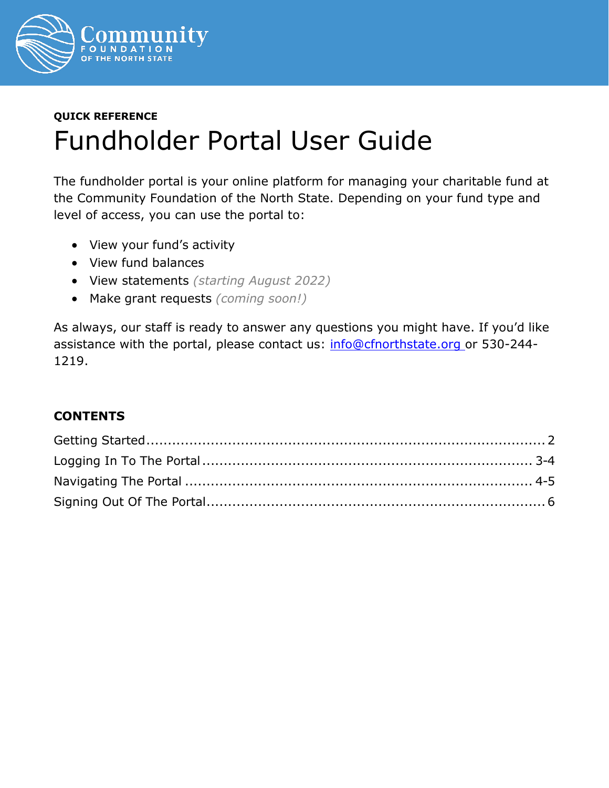

# **QUICK REFERENCE** Fundholder Portal User Guide

The fundholder portal is your online platform for managing your charitable fund at the Community Foundation of the North State. Depending on your fund type and level of access, you can use the portal to:

- View your fund's activity
- View fund balances
- View statements *(starting August 2022)*
- Make grant requests *(coming soon!)*

As always, our staff is ready to answer any questions you might have. If you'd like assistance with the portal, please contact us: [info@cfnorthstate.org o](mailto:info@cfnorthstate.org)r 530-244-1219.

#### **CONTENTS**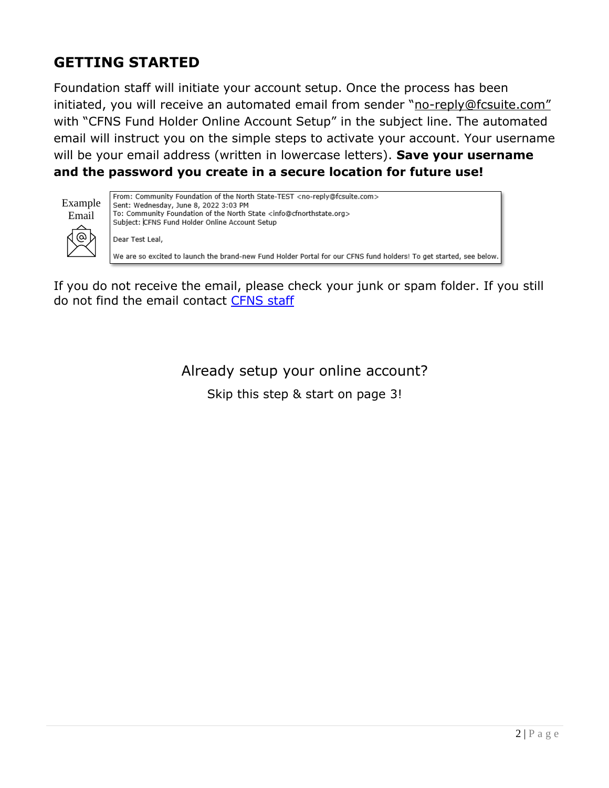# <span id="page-1-0"></span>**GETTING STARTED**

Foundation staff will initiate your account setup. Once the process has been initiated, you will receive an automated email from sender "[no-reply@fcsuite.com](mailto:no-reply@fcsuite.com)" with "CFNS Fund Holder Online Account Setup" in the subject line. The automated email will instruct you on the simple steps to activate your account. Your username will be your email address (written in lowercase letters). **Save your username and the password you create in a secure location for future use!**

| Example |  |
|---------|--|
| Email   |  |



From: Community Foundation of the North State-TEST <no-reply@fcsuite.com> Sent: Wednesday, June 8, 2022 3:03 PM To: Community Foundation of the North State <info@cfnorthstate.org> Subject: CFNS Fund Holder Online Account Setup Dear Test Leal, We are so excited to launch the brand-new Fund Holder Portal for our CFNS fund holders! To get started, see below.

<span id="page-1-1"></span>If you do not receive the email, please check your junk or spam folder. If you still do not find the email contact [CFNS staff](mailto:info@cfnorthstate.org?subject=Fund%20Holder%20Portal%20Assistance%20Needed)

Already setup your online account?

Skip this step & start on page 3!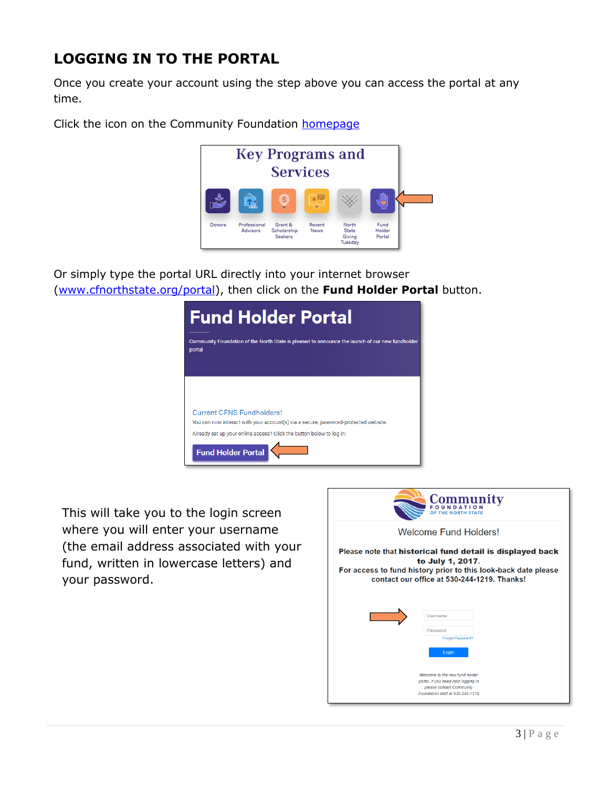# **LOGGING IN TO THE PORTAL**

Once you create your account using the step above you can access the portal at any time.

Click the icon on the Community Foundation [homepage](https://cfnorthstate.org/)



Or simply type the portal URL directly into your internet browser [\(www.cfnorthstate.org/portal\)](http://www.cfnorthstate.org/portal), then click on the **Fund Holder Portal** button.

| <b>Fund Holder Portal</b><br>Community Foundation of the North State is pleased to announce the launch of our new fundholder<br>portal                                                                                       |
|------------------------------------------------------------------------------------------------------------------------------------------------------------------------------------------------------------------------------|
| <b>Current CFNS Fundholders!</b><br>You can now interact with your account(s) via a secure, password-protected website.<br>Already set up your online access? Click the button below to log in:<br><b>Fund Holder Portal</b> |

This will take you to the login screen where you will enter your username (the email address associated with your fund, written in lowercase letters) and your password.

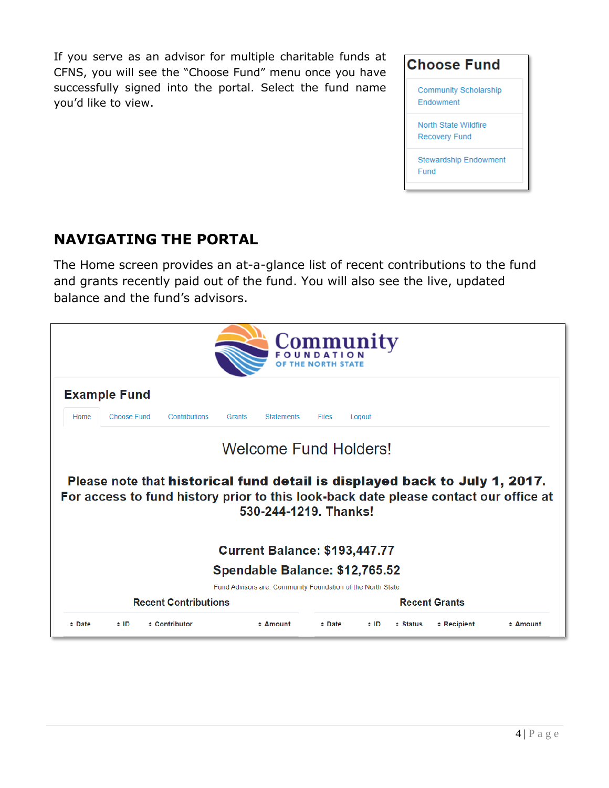If you serve as an advisor for multiple charitable funds at CFNS, you will see the "Choose Fund" menu once you have successfully signed into the portal. Select the fund name you'd like to view.



### **NAVIGATING THE PORTAL**

The Home screen provides an at-a-glance list of recent contributions to the fund and grants recently paid out of the fund. You will also see the live, updated balance and the fund's advisors.

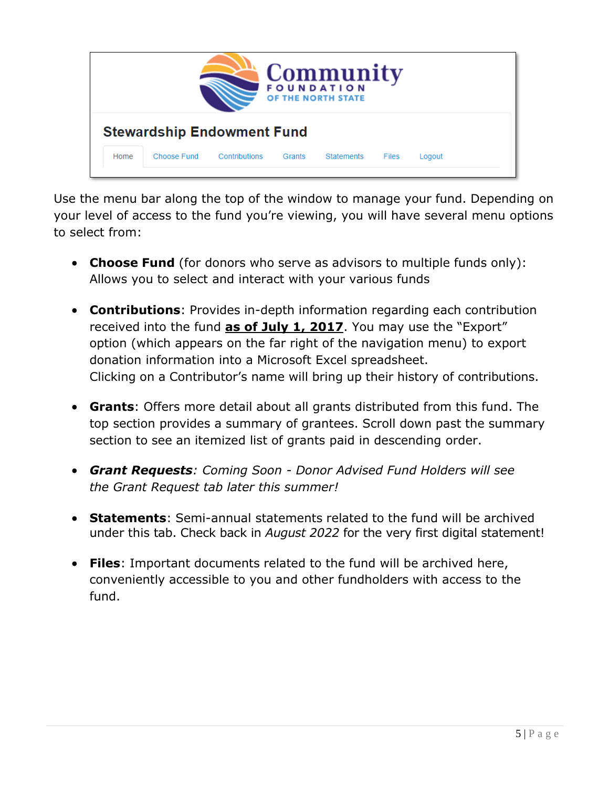

Use the menu bar along the top of the window to manage your fund. Depending on your level of access to the fund you're viewing, you will have several menu options to select from:

- **Choose Fund** (for donors who serve as advisors to multiple funds only): Allows you to select and interact with your various funds
- **Contributions**: Provides in-depth information regarding each contribution received into the fund **as of July 1, 2017**. You may use the "Export" option (which appears on the far right of the navigation menu) to export donation information into a Microsoft Excel spreadsheet. Clicking on a Contributor's name will bring up their history of contributions.
- **Grants**: Offers more detail about all grants distributed from this fund. The top section provides a summary of grantees. Scroll down past the summary section to see an itemized list of grants paid in descending order.
- *Grant Requests: Coming Soon - Donor Advised Fund Holders will see the Grant Request tab later this summer!*
- **Statements**: Semi-annual statements related to the fund will be archived under this tab. Check back in *August 2022* for the very first digital statement!
- **Files**: Important documents related to the fund will be archived here, conveniently accessible to you and other fundholders with access to the fund.